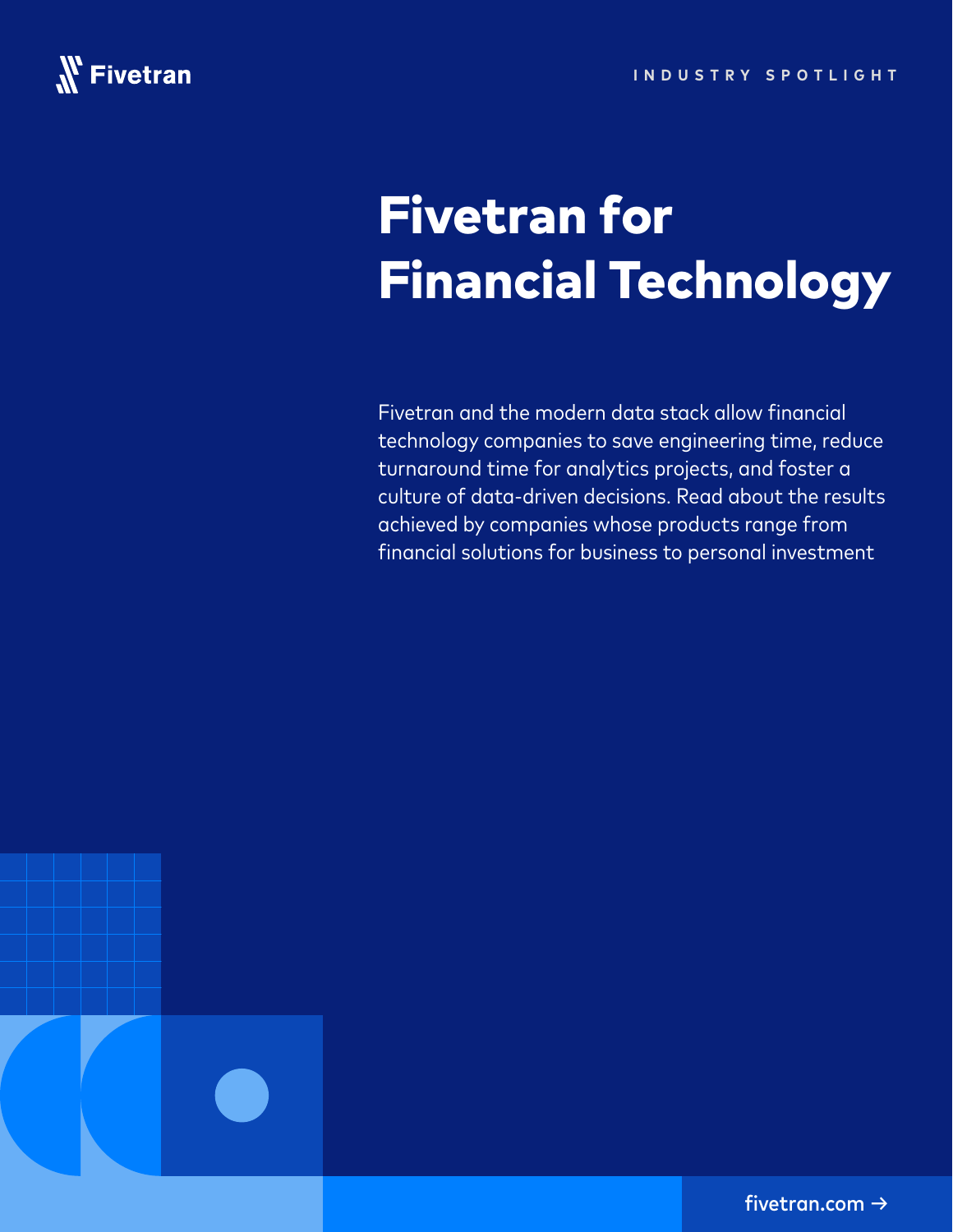

## Fivetran for Financial Technology

Fivetran and the modern data stack allow financial technology companies to save engineering time, reduce turnaround time for analytics projects, and foster a culture of data-driven decisions. Read about the results achieved by companies whose products range from financial solutions for business to personal investment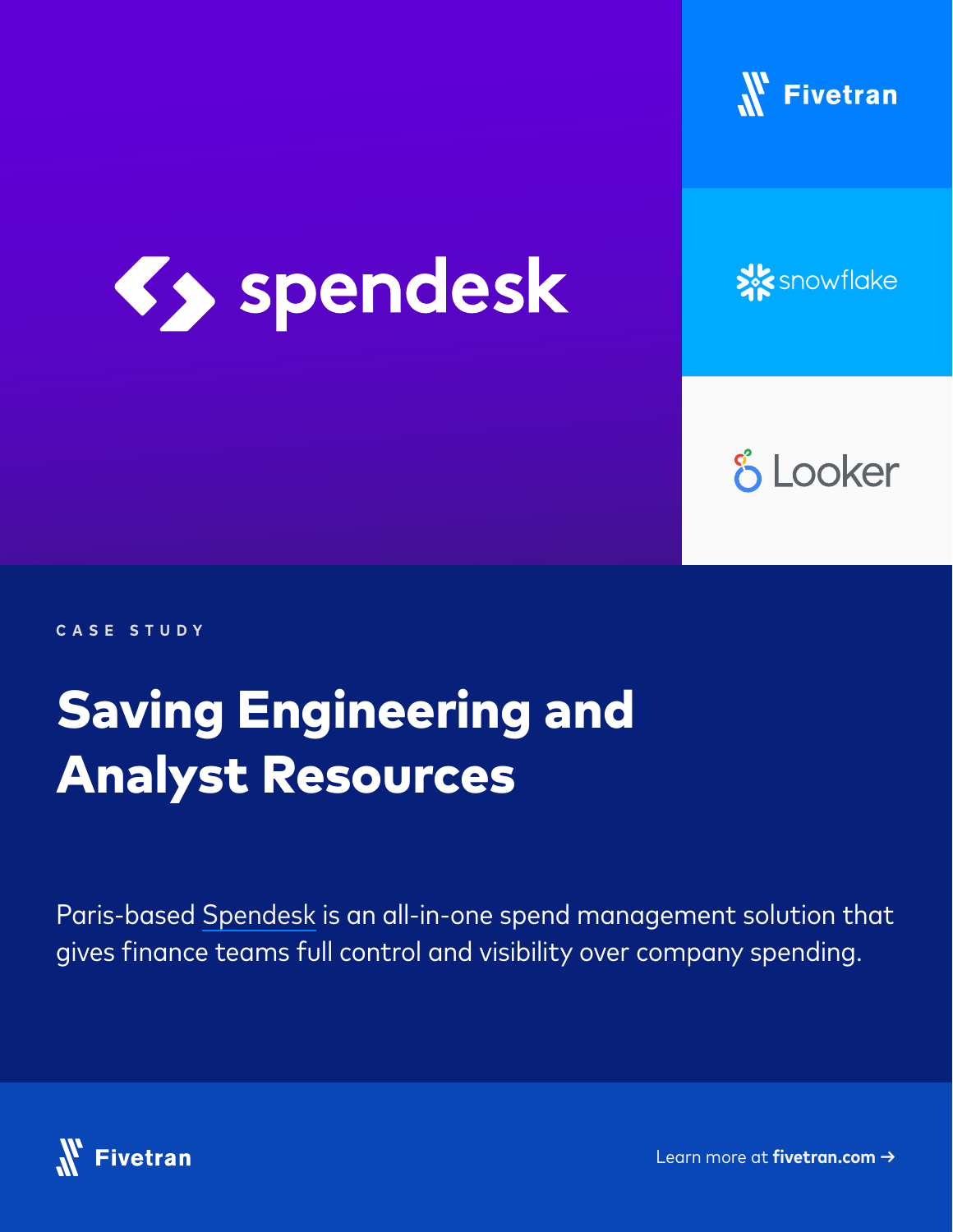



**X** snowflake

**& Looker** 

**CASE STUDY**

## Saving Engineering and Analyst Resources

Paris-based [Spendesk](https://www.spendesk.com/) is an all-in-one spend management solution that gives finance teams full control and visibility over company spending.

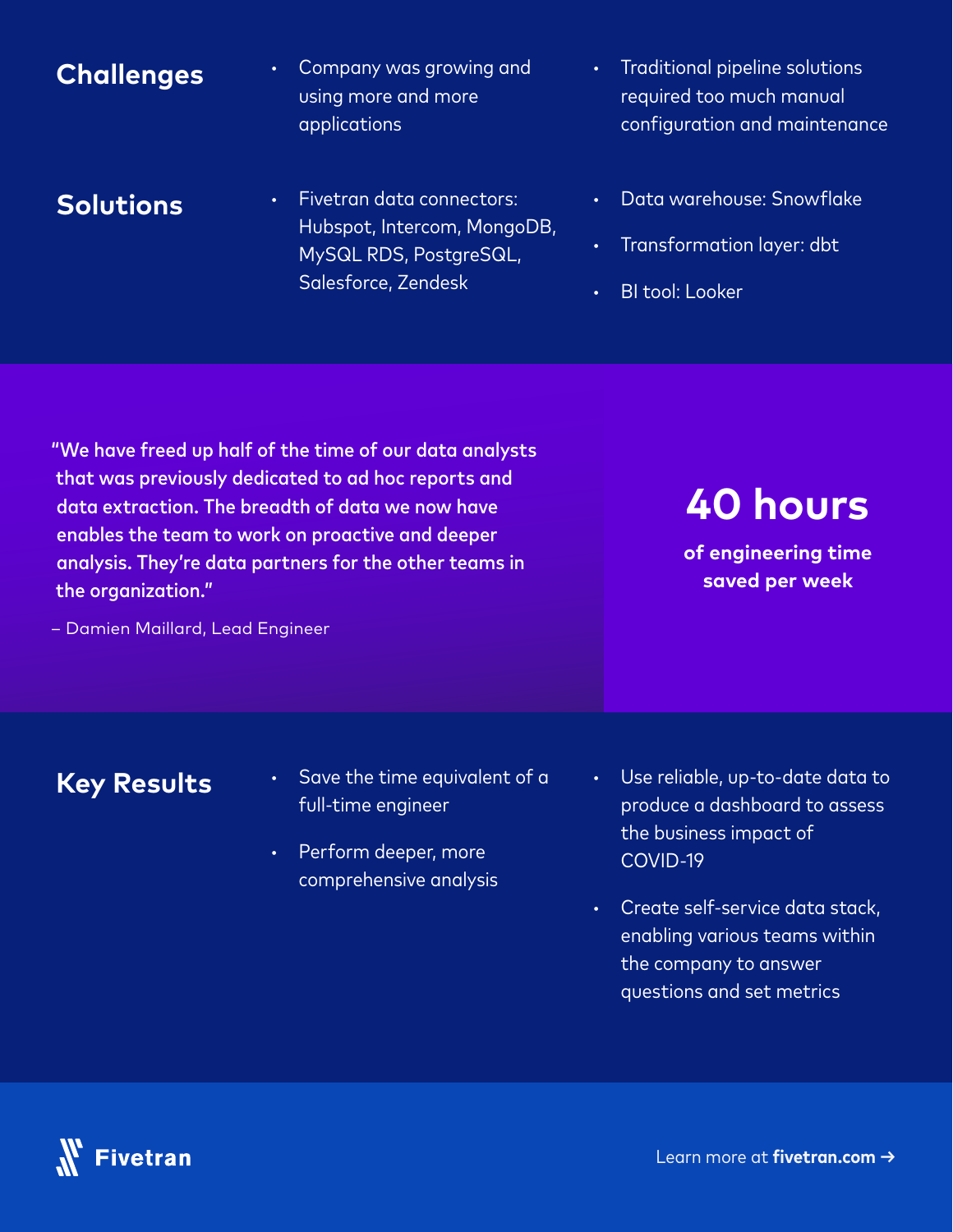#### **Challenges**

**·** Company was growing and using more and more applications

#### **Solutions**

- **·** Fivetran data connectors: Hubspot, Intercom, MongoDB, MySQL RDS, PostgreSQL, Salesforce, Zendesk
- **·** Traditional pipeline solutions required too much manual configuration and maintenance
- **·** Data warehouse: Snowflake
- **·** Transformation layer: dbt
- **·** BI tool: Looker

"We have freed up half of the time of our data analysts that was previously dedicated to ad hoc reports and data extraction. The breadth of data we now have enables the team to work on proactive and deeper analysis. They're data partners for the other teams in the organization."

– Damien Maillard, Lead Engineer

**40 hours** 

**of engineering time saved per week**

- **·** Save the time equivalent of a full-time engineer
- **·** Perform deeper, more comprehensive analysis
- **·** Use reliable, up-to-date data to produce a dashboard to assess the business impact of COVID-19
- **·** Create self-service data stack, enabling various teams within the company to answer questions and set metrics

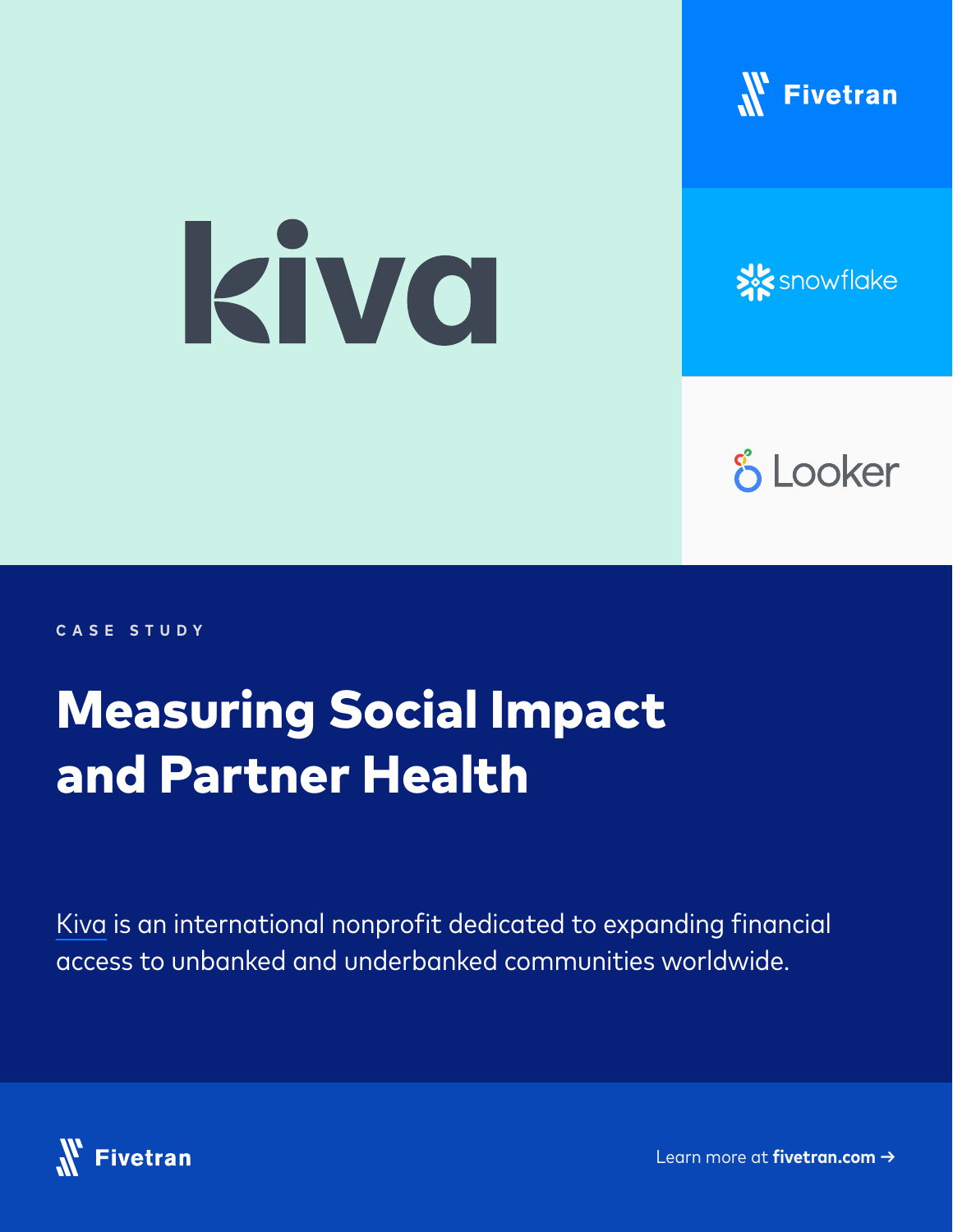

# kiva

## **XX** snowflake

## **& Looker**

**CASE STUDY**

## Measuring Social Impact and Partner Health

[Kiva](https://www.kiva.org/) is an international nonprofit dedicated to expanding financial access to unbanked and underbanked communities worldwide.

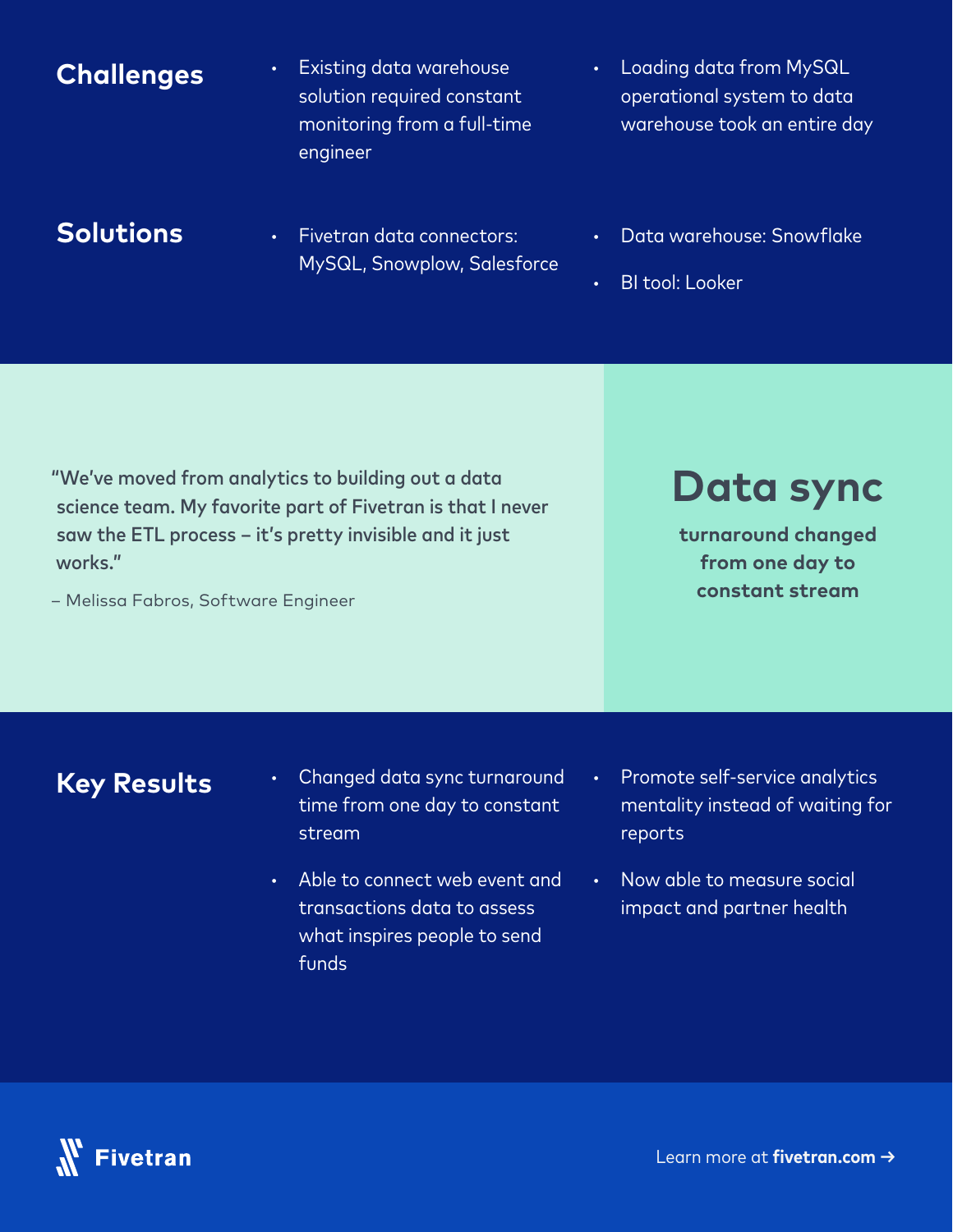#### **·** Existing data warehouse solution required constant monitoring from a full-time engineer **·** Loading data from MySQL operational system to data warehouse took an entire day **Challenges**

#### **Solutions**

- **·** Fivetran data connectors: MySQL, Snowplow, Salesforce
- **·** Data warehouse: Snowflake
- **·** BI tool: Looker

"We've moved from analytics to building out a data science team. My favorite part of Fivetran is that I never saw the ETL process – it's pretty invisible and it just works."

– Melissa Fabros, Software Engineer

### **Data sync**

**turnaround changed from one day to constant stream**

- **·** Changed data sync turnaround time from one day to constant stream
- **·** Able to connect web event and transactions data to assess what inspires people to send funds
- **·** Promote self-service analytics mentality instead of waiting for reports
- **·** Now able to measure social impact and partner health

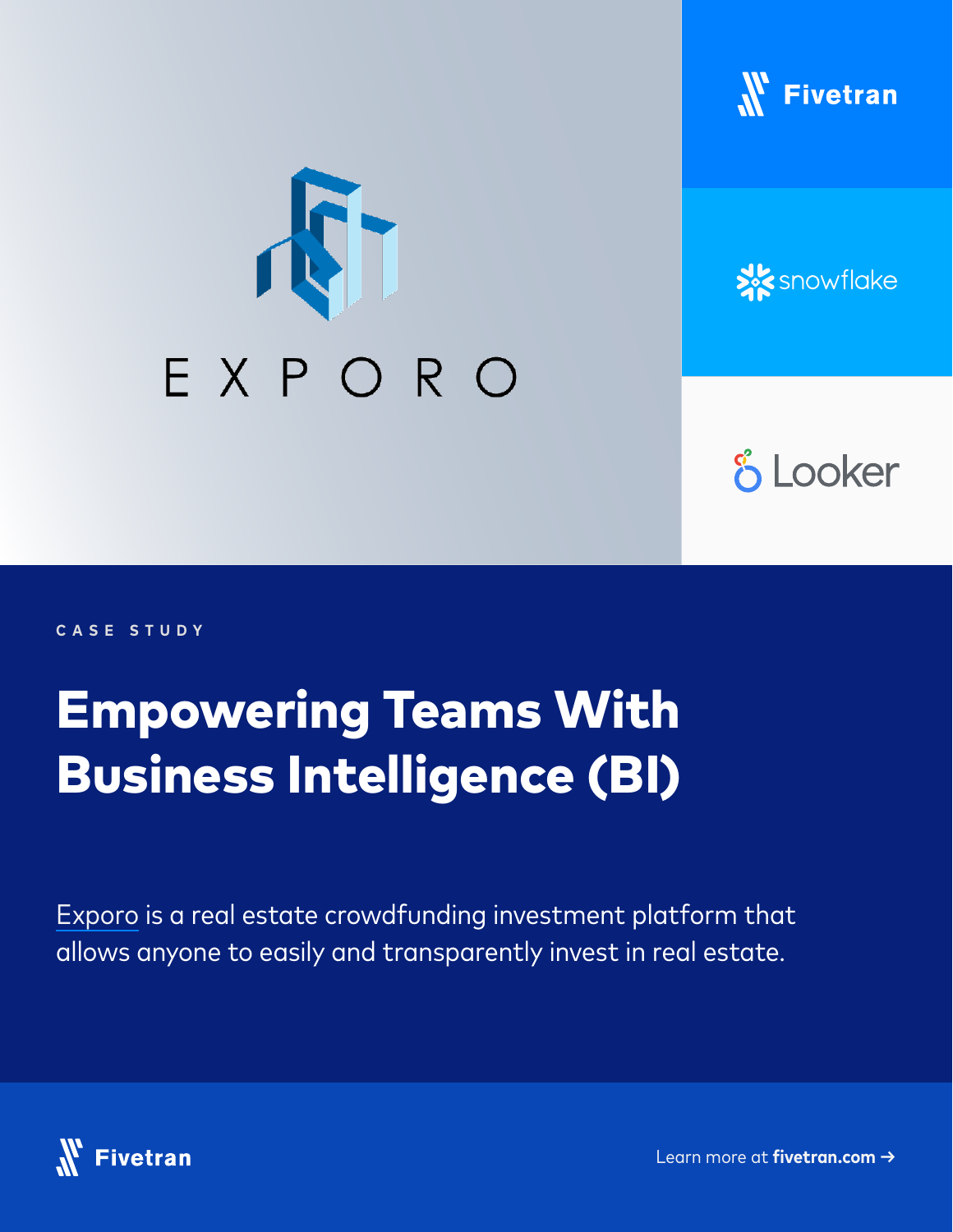





## **& Looker**

**CASE STUDY**

## Empowering Teams With Business Intelligence (BI)

[Exporo](https://exporo.com/) is a real estate crowdfunding investment platform that allows anyone to easily and transparently invest in real estate.

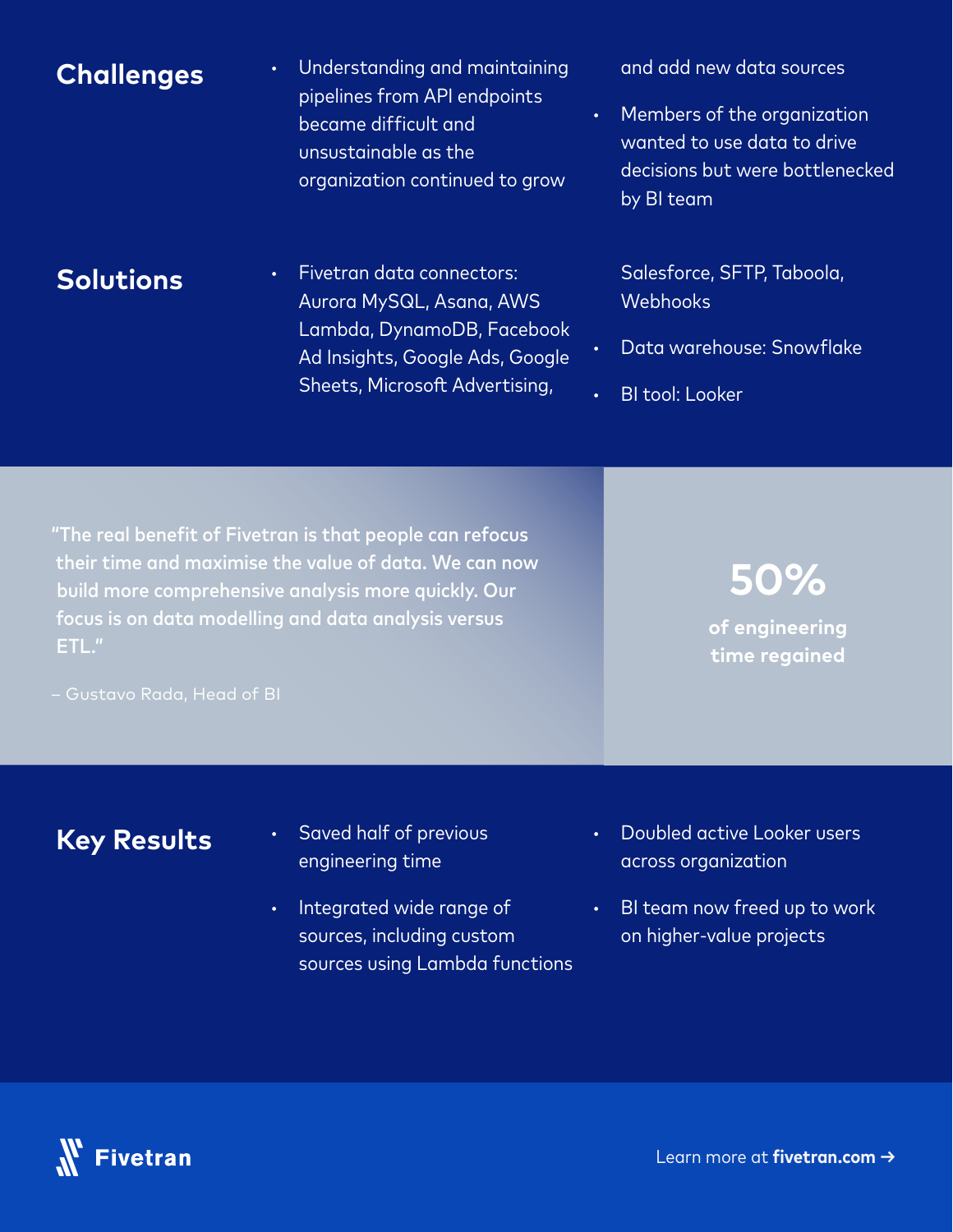| <b>Challenges</b> | Understanding and maintaining<br>$\bullet$<br>pipelines from API endpoints<br>became difficult and<br>unsustainable as the<br>organization continued to grow | and add new data sources<br>Members of the organization<br>$\bullet$<br>wanted to use data to drive<br>decisions but were bottlenecked<br>by BI team |
|-------------------|--------------------------------------------------------------------------------------------------------------------------------------------------------------|------------------------------------------------------------------------------------------------------------------------------------------------------|
| <b>Solutions</b>  | Fivetran data connectors:<br>$\bullet$<br>Aurora MySQL, Asana, AWS                                                                                           | Salesforce, SFTP, Taboola,<br>Webhooks                                                                                                               |

Lambda, DynamoDB, Facebook Ad Insights, Google Ads, Google Sheets, Microsoft Advertising,

## **Key Results**

– Gustavo Rada, Head of BI

ETL."

**·** Saved half of previous engineering time

"The real benefit of Fivetran is that people can refocus their time and maximise the value of data. We can now

build more comprehensive analysis more quickly. Our focus is on data modelling and data analysis versus

- **·** Integrated wide range of sources, including custom sources using Lambda functions
- **·** Doubled active Looker users across organization

**·** Data warehouse: Snowflake

**50%** 

**of engineering time regained**

**·** BI tool: Looker

**·** BI team now freed up to work on higher-value projects

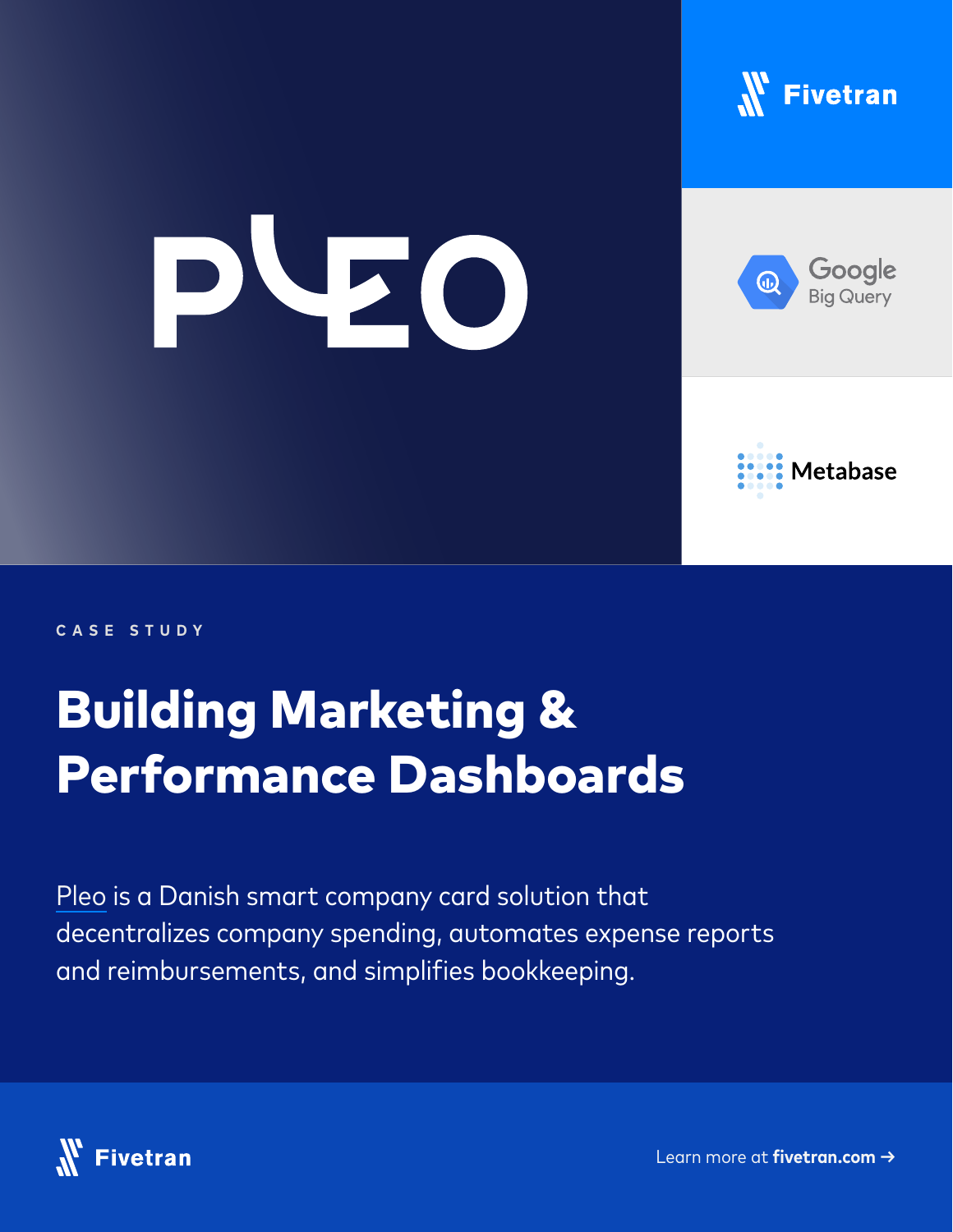

## PVZO



 $\textcircled{\scriptsize{1}}$ 

Google



**CASE STUDY**

## Building Marketing & Performance Dashboards

[Pleo](https://www.pleo.io/) is a Danish smart company card solution that decentralizes company spending, automates expense reports and reimbursements, and simplifies bookkeeping.

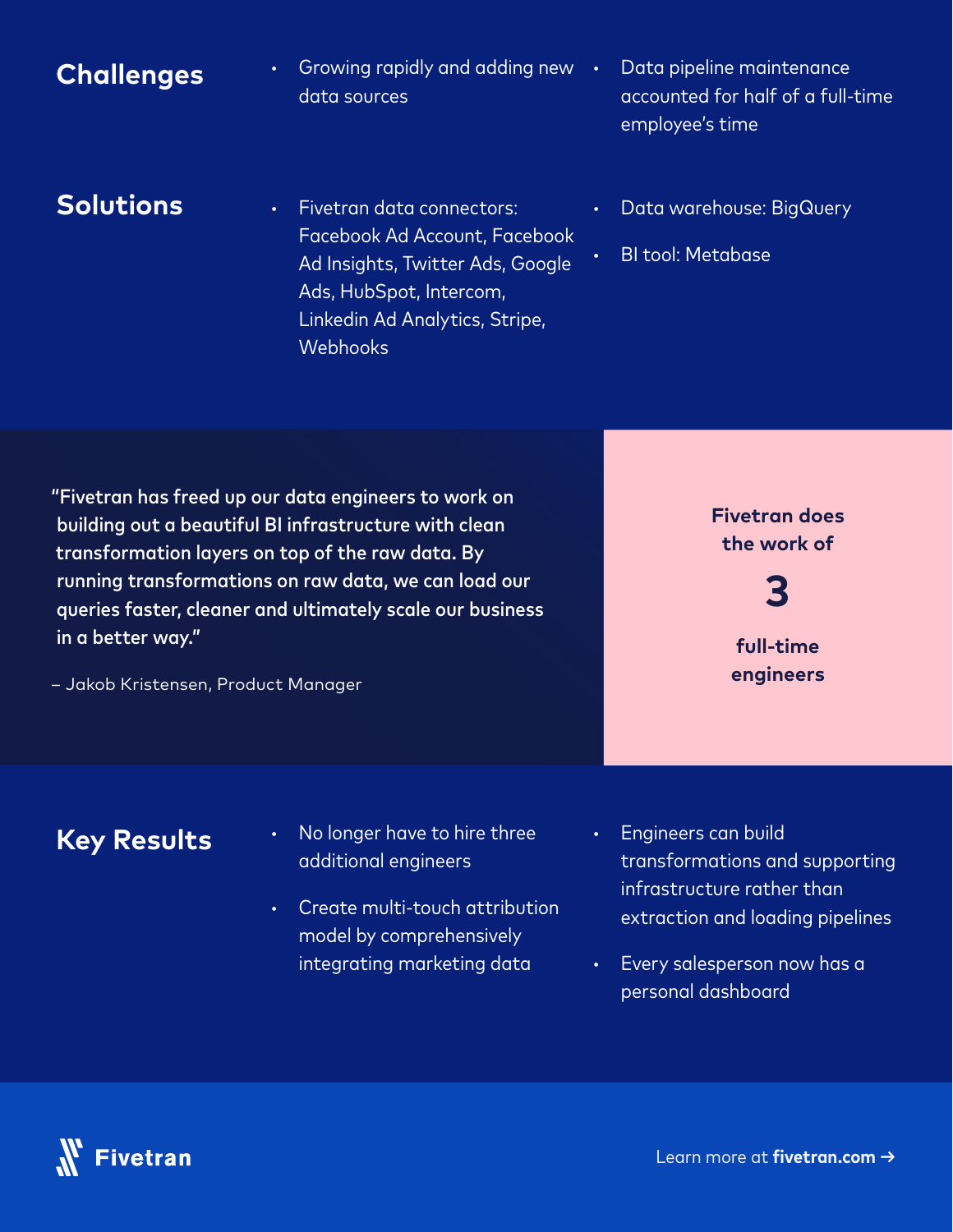#### **Challenges**

- **·** Growing rapidly and adding new data sources
- **·** Data pipeline maintenance accounted for half of a full-time employee's time

#### **Solutions**

- **·** Fivetran data connectors: Facebook Ad Account, Facebook Ad Insights, Twitter Ads, Google Ads, HubSpot, Intercom, Linkedin Ad Analytics, Stripe, **Webhooks**
- **·** Data warehouse: BigQuery
- **·** BI tool: Metabase

"Fivetran has freed up our data engineers to work on building out a beautiful BI infrastructure with clean transformation layers on top of the raw data. By running transformations on raw data, we can load our queries faster, cleaner and ultimately scale our business in a better way."

– Jakob Kristensen, Product Manager



**full-time** 

**engineers**

**3**

- **·** No longer have to hire three additional engineers
- **·** Create multi-touch attribution model by comprehensively integrating marketing data
- **·** Engineers can build transformations and supporting infrastructure rather than extraction and loading pipelines
- **·** Every salesperson now has a personal dashboard

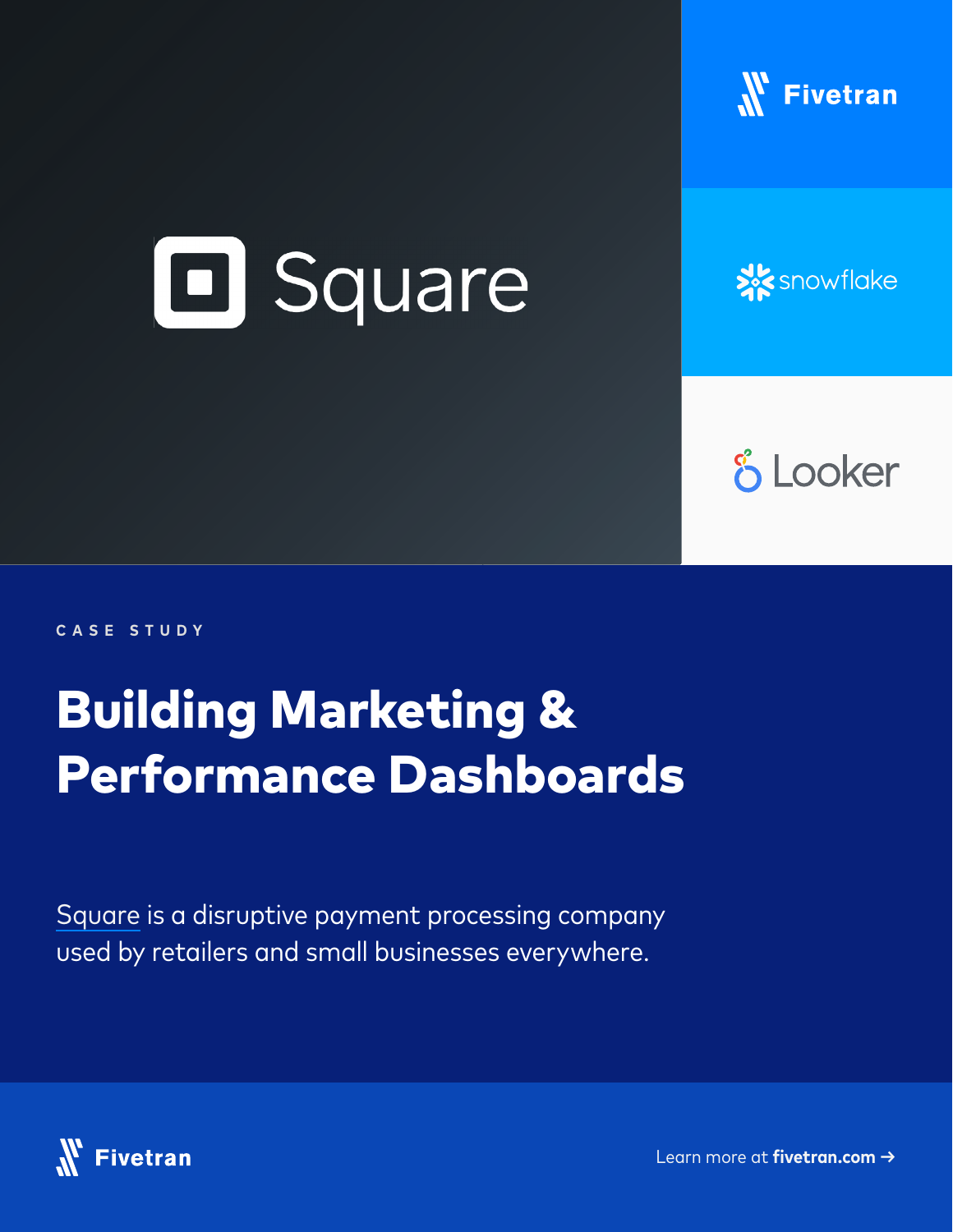

## **El Square**

**X** snowflake

**& Looker** 

**CASE STUDY**

## Building Marketing & Performance Dashboards

[Square](https://squareup.com/us/en) is a disruptive payment processing company used by retailers and small businesses everywhere.

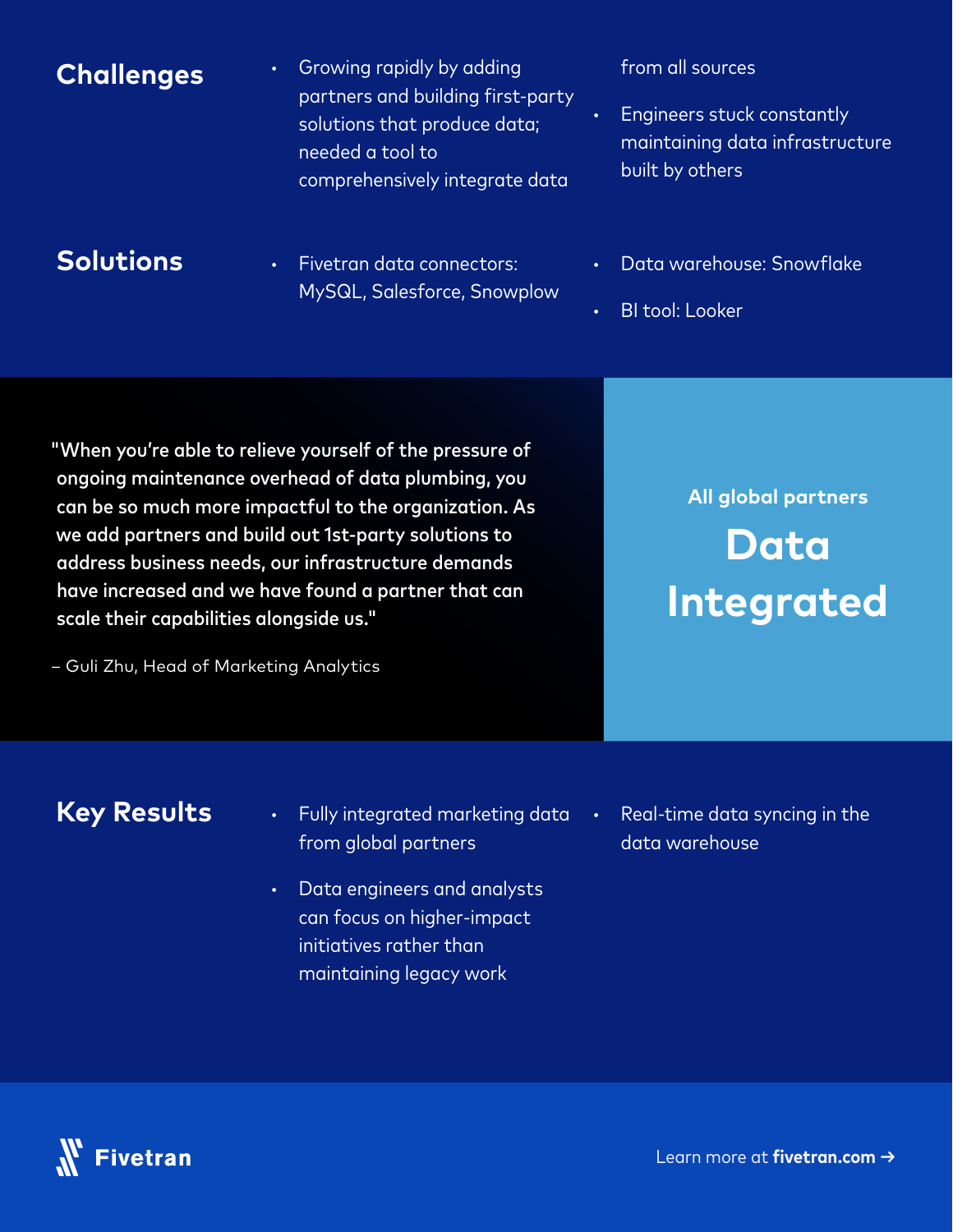#### **·** Growing rapidly by adding partners and building first-party solutions that produce data; needed a tool to comprehensively integrate data from all sources **Engineers stuck constantly** maintaining data infrastructure built by others **Challenges**

#### **Solutions**

- **·** Fivetran data connectors: MySQL, Salesforce, Snowplow
- **·** Data warehouse: Snowflake
- **·** BI tool: Looker

"When you're able to relieve yourself of the pressure of ongoing maintenance overhead of data plumbing, you can be so much more impactful to the organization. As we add partners and build out 1st-party solutions to address business needs, our infrastructure demands have increased and we have found a partner that can scale their capabilities alongside us."

– Guli Zhu, Head of Marketing Analytics

## **All global partners Data Integrated**

- **·** Fully integrated marketing data from global partners
- **·** Data engineers and analysts can focus on higher-impact initiatives rather than maintaining legacy work
- **·** Real-time data syncing in the data warehouse